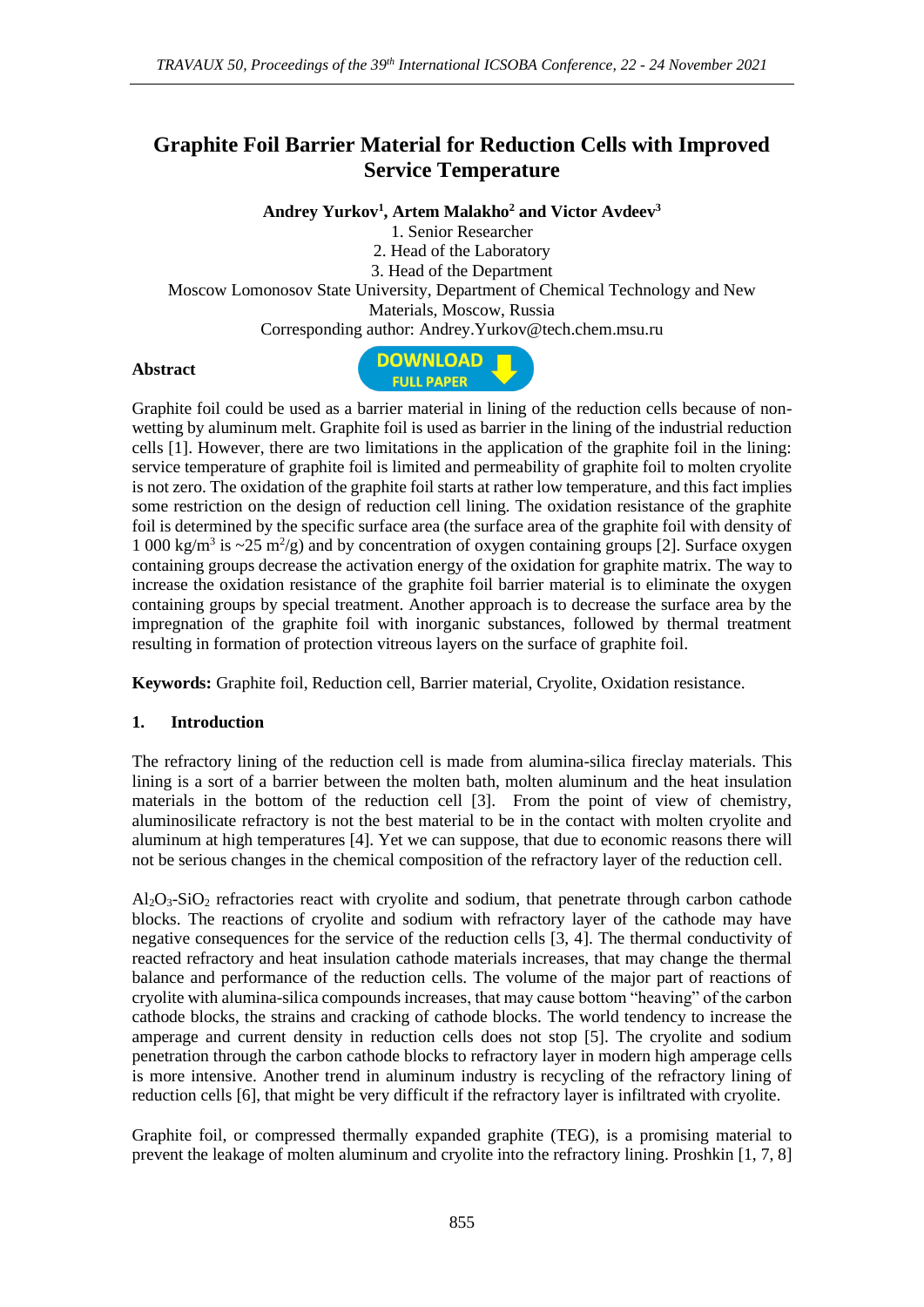# **Graphite Foil Barrier Material for Reduction Cells with Improved Service Temperature**

**Andrey Yurkov<sup>1</sup> , Artem Malakho<sup>2</sup> and Victor Avdeev<sup>3</sup>**

1. Senior Researcher

2. Head of the Laboratory

3. Head of the Department

Moscow Lomonosov State University, Department of Chemical Technology and New Materials, Moscow, Russia

Corresponding author: Andrey.Yurkov@tech.chem.msu.ru

#### **Abstract**



Graphite foil could be used as a barrier material in lining of the reduction cells because of nonwetting by aluminum melt. Graphite foil is used as barrier in the lining of the industrial reduction cells [1]. However, there are two limitations in the application of the graphite foil in the lining: service temperature of graphite foil is limited and permeability of graphite foil to molten cryolite is not zero. The oxidation of the graphite foil starts at rather low temperature, and this fact implies some restriction on the design of reduction cell lining. The oxidation resistance of the graphite foil is determined by the specific surface area (the surface area of the graphite foil with density of 1 000 kg/m<sup>3</sup> is  $\sim$ 25 m<sup>2</sup>/g) and by concentration of oxygen containing groups [2]. Surface oxygen containing groups decrease the activation energy of the oxidation for graphite matrix. The way to increase the oxidation resistance of the graphite foil barrier material is to eliminate the oxygen containing groups by special treatment. Another approach is to decrease the surface area by the impregnation of the graphite foil with inorganic substances, followed by thermal treatment resulting in formation of protection vitreous layers on the surface of graphite foil.

**Keywords:** Graphite foil, Reduction cell, Barrier material, Cryolite, Oxidation resistance.

#### **1. Introduction**

The refractory lining of the reduction cell is made from alumina-silica fireclay materials. This lining is a sort of a barrier between the molten bath, molten aluminum and the heat insulation materials in the bottom of the reduction cell [3]. From the point of view of chemistry, aluminosilicate refractory is not the best material to be in the contact with molten cryolite and aluminum at high temperatures [4]. Yet we can suppose, that due to economic reasons there will not be serious changes in the chemical composition of the refractory layer of the reduction cell.

 $Al_2O_3-SiO_2$  refractories react with cryolite and sodium, that penetrate through carbon cathode blocks. The reactions of cryolite and sodium with refractory layer of the cathode may have negative consequences for the service of the reduction cells [3, 4]. The thermal conductivity of reacted refractory and heat insulation cathode materials increases, that may change the thermal balance and performance of the reduction cells. The volume of the major part of reactions of cryolite with alumina-silica compounds increases, that may cause bottom "heaving" of the carbon cathode blocks, the strains and cracking of cathode blocks. The world tendency to increase the amperage and current density in reduction cells does not stop [5]. The cryolite and sodium penetration through the carbon cathode blocks to refractory layer in modern high amperage cells is more intensive. Another trend in aluminum industry is recycling of the refractory lining of reduction cells [6], that might be very difficult if the refractory layer is infiltrated with cryolite.

Graphite foil, or compressed thermally expanded graphite (TEG), is a promising material to prevent the leakage of molten aluminum and cryolite into the refractory lining. Proshkin [1, 7, 8]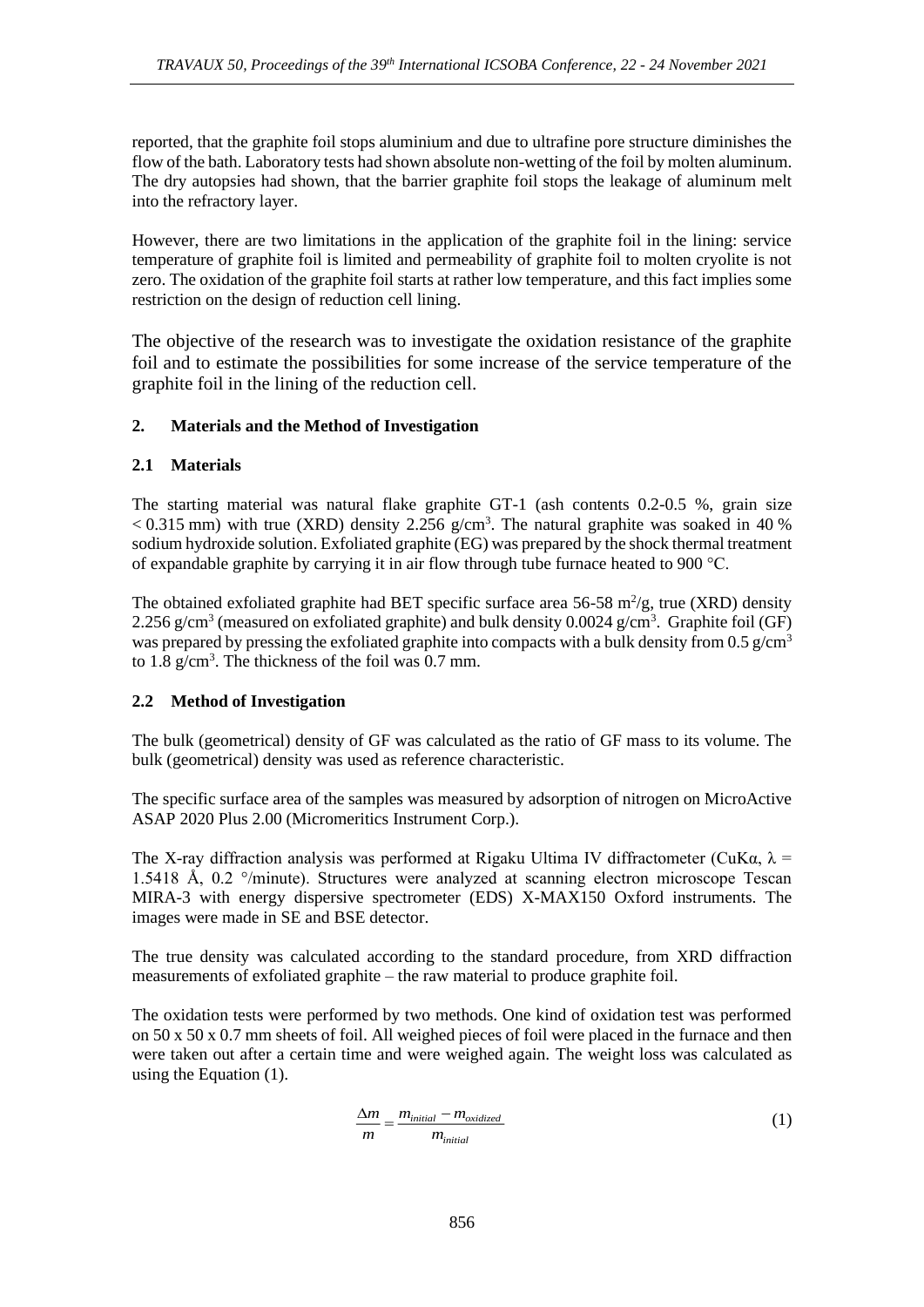reported, that the graphite foil stops aluminium and due to ultrafine pore structure diminishes the flow of the bath. Laboratory tests had shown absolute non-wetting of the foil by molten aluminum. The dry autopsies had shown, that the barrier graphite foil stops the leakage of aluminum melt into the refractory layer.

However, there are two limitations in the application of the graphite foil in the lining: service temperature of graphite foil is limited and permeability of graphite foil to molten cryolite is not zero. The oxidation of the graphite foil starts at rather low temperature, and this fact implies some restriction on the design of reduction cell lining.

The objective of the research was to investigate the oxidation resistance of the graphite foil and to estimate the possibilities for some increase of the service temperature of the graphite foil in the lining of the reduction cell.

# **2. Materials and the Method of Investigation**

# **2.1 Materials**

The starting material was natural flake graphite GT-1 (ash contents 0.2-0.5 %, grain size  $< 0.315$  mm) with true (XRD) density 2.256 g/cm<sup>3</sup>. The natural graphite was soaked in 40 % sodium hydroxide solution. Exfoliated graphite (EG) was prepared by the shock thermal treatment of expandable graphite by carrying it in air flow through tube furnace heated to 900 °C.

The obtained exfoliated graphite had BET specific surface area 56-58  $m^2/g$ , true (XRD) density 2.256 g/cm<sup>3</sup> (measured on exfoliated graphite) and bulk density  $0.0024$  g/cm<sup>3</sup>. Graphite foil (GF) was prepared by pressing the exfoliated graphite into compacts with a bulk density from 0.5 g/cm<sup>3</sup> to 1.8  $g/cm<sup>3</sup>$ . The thickness of the foil was 0.7 mm.

#### **2.2 Method of Investigation**

The bulk (geometrical) density of GF was calculated as the ratio of GF mass to its volume. The bulk (geometrical) density was used as reference characteristic.

The specific surface area of the samples was measured by adsorption of nitrogen on MicroActive ASAP 2020 Plus 2.00 (Micromeritics Instrument Corp.).

The X-ray diffraction analysis was performed at Rigaku Ultima IV diffractometer (CuK $\alpha$ ,  $\lambda$  = 1.5418 Å, 0.2 °/minute). Structures were analyzed at scanning electron microscope Tescan MIRA-3 with energy dispersive spectrometer (EDS) X-MAX150 Oxford instruments. The images were made in SE and BSE detector.

The true density was calculated according to the standard procedure, from XRD diffraction measurements of exfoliated graphite – the raw material to produce graphite foil.

The oxidation tests were performed by two methods. One kind of oxidation test was performed on 50 x 50 x 0.7 mm sheets of foil. All weighed pieces of foil were placed in the furnace and then were taken out after a certain time and were weighed again. The weight loss was calculated as using the Equation (1).

$$
\frac{\Delta m}{m} = \frac{m_{initial} - m_{oxidized}}{m_{initial}}
$$
 (1)